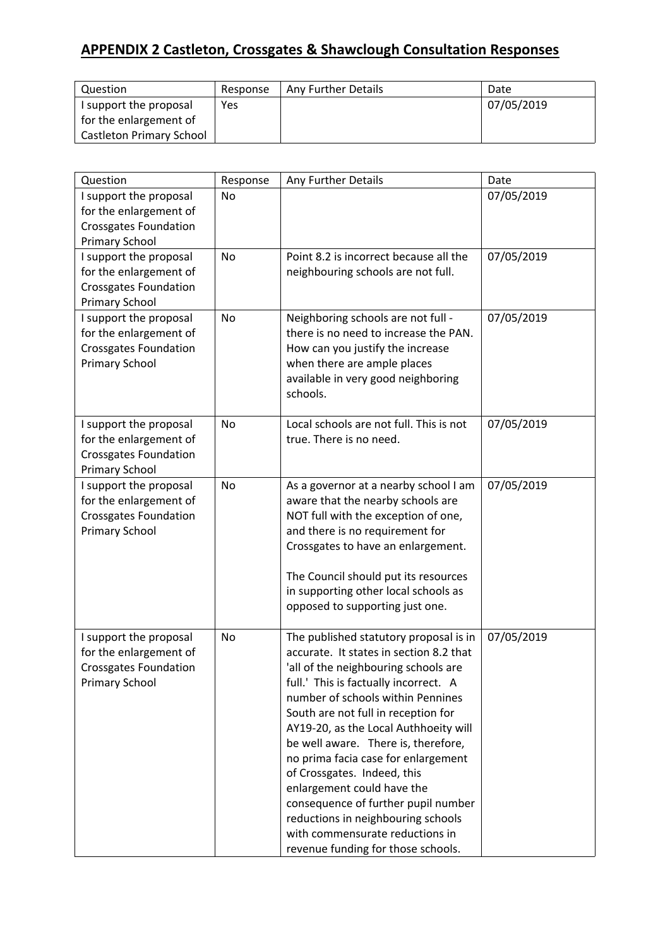## **APPENDIX 2 Castleton, Crossgates & Shawclough Consultation Responses**

| Question                 | Response | Any Further Details | Date       |
|--------------------------|----------|---------------------|------------|
| I support the proposal   | Yes      |                     | 07/05/2019 |
| for the enlargement of   |          |                     |            |
| Castleton Primary School |          |                     |            |

| Question                                                                                                  | Response  | Any Further Details                                                                                                                                                                                                                                                                                                                                                                                                                                                                                                                                                                      | Date       |
|-----------------------------------------------------------------------------------------------------------|-----------|------------------------------------------------------------------------------------------------------------------------------------------------------------------------------------------------------------------------------------------------------------------------------------------------------------------------------------------------------------------------------------------------------------------------------------------------------------------------------------------------------------------------------------------------------------------------------------------|------------|
| I support the proposal<br>for the enlargement of<br><b>Crossgates Foundation</b><br><b>Primary School</b> | No        |                                                                                                                                                                                                                                                                                                                                                                                                                                                                                                                                                                                          | 07/05/2019 |
| I support the proposal<br>for the enlargement of<br><b>Crossgates Foundation</b><br><b>Primary School</b> | No        | Point 8.2 is incorrect because all the<br>neighbouring schools are not full.                                                                                                                                                                                                                                                                                                                                                                                                                                                                                                             | 07/05/2019 |
| I support the proposal<br>for the enlargement of<br><b>Crossgates Foundation</b><br><b>Primary School</b> | No        | Neighboring schools are not full -<br>there is no need to increase the PAN.<br>How can you justify the increase<br>when there are ample places<br>available in very good neighboring<br>schools.                                                                                                                                                                                                                                                                                                                                                                                         | 07/05/2019 |
| I support the proposal<br>for the enlargement of<br><b>Crossgates Foundation</b><br><b>Primary School</b> | No        | Local schools are not full. This is not<br>true. There is no need.                                                                                                                                                                                                                                                                                                                                                                                                                                                                                                                       | 07/05/2019 |
| I support the proposal<br>for the enlargement of<br><b>Crossgates Foundation</b><br><b>Primary School</b> | <b>No</b> | As a governor at a nearby school I am<br>aware that the nearby schools are<br>NOT full with the exception of one,<br>and there is no requirement for<br>Crossgates to have an enlargement.<br>The Council should put its resources<br>in supporting other local schools as<br>opposed to supporting just one.                                                                                                                                                                                                                                                                            | 07/05/2019 |
| I support the proposal<br>for the enlargement of<br><b>Crossgates Foundation</b><br><b>Primary School</b> | No        | The published statutory proposal is in<br>accurate. It states in section 8.2 that<br>'all of the neighbouring schools are<br>full.' This is factually incorrect. A<br>number of schools within Pennines<br>South are not full in reception for<br>AY19-20, as the Local Authhoeity will<br>be well aware. There is, therefore,<br>no prima facia case for enlargement<br>of Crossgates. Indeed, this<br>enlargement could have the<br>consequence of further pupil number<br>reductions in neighbouring schools<br>with commensurate reductions in<br>revenue funding for those schools. | 07/05/2019 |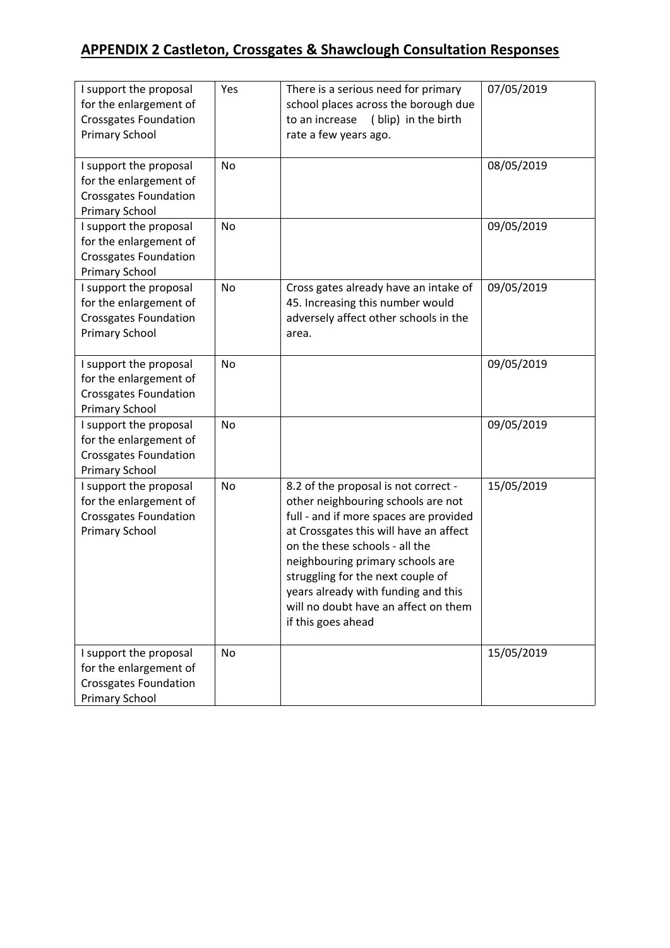## **APPENDIX 2 Castleton, Crossgates & Shawclough Consultation Responses**

| I support the proposal<br>for the enlargement of<br><b>Crossgates Foundation</b><br><b>Primary School</b> | Yes       | There is a serious need for primary<br>school places across the borough due<br>to an increase<br>(blip) in the birth<br>rate a few years ago.                                                                                                                                                                                                                                  | 07/05/2019 |
|-----------------------------------------------------------------------------------------------------------|-----------|--------------------------------------------------------------------------------------------------------------------------------------------------------------------------------------------------------------------------------------------------------------------------------------------------------------------------------------------------------------------------------|------------|
| I support the proposal<br>for the enlargement of<br><b>Crossgates Foundation</b><br><b>Primary School</b> | <b>No</b> |                                                                                                                                                                                                                                                                                                                                                                                | 08/05/2019 |
| I support the proposal<br>for the enlargement of<br><b>Crossgates Foundation</b><br><b>Primary School</b> | <b>No</b> |                                                                                                                                                                                                                                                                                                                                                                                | 09/05/2019 |
| I support the proposal<br>for the enlargement of<br><b>Crossgates Foundation</b><br><b>Primary School</b> | <b>No</b> | Cross gates already have an intake of<br>45. Increasing this number would<br>adversely affect other schools in the<br>area.                                                                                                                                                                                                                                                    | 09/05/2019 |
| I support the proposal<br>for the enlargement of<br><b>Crossgates Foundation</b><br><b>Primary School</b> | No        |                                                                                                                                                                                                                                                                                                                                                                                | 09/05/2019 |
| I support the proposal<br>for the enlargement of<br><b>Crossgates Foundation</b><br><b>Primary School</b> | No        |                                                                                                                                                                                                                                                                                                                                                                                | 09/05/2019 |
| I support the proposal<br>for the enlargement of<br><b>Crossgates Foundation</b><br><b>Primary School</b> | <b>No</b> | 8.2 of the proposal is not correct -<br>other neighbouring schools are not<br>full - and if more spaces are provided<br>at Crossgates this will have an affect<br>on the these schools - all the<br>neighbouring primary schools are<br>struggling for the next couple of<br>years already with funding and this<br>will no doubt have an affect on them<br>if this goes ahead | 15/05/2019 |
| I support the proposal<br>for the enlargement of<br><b>Crossgates Foundation</b><br><b>Primary School</b> | No        |                                                                                                                                                                                                                                                                                                                                                                                | 15/05/2019 |